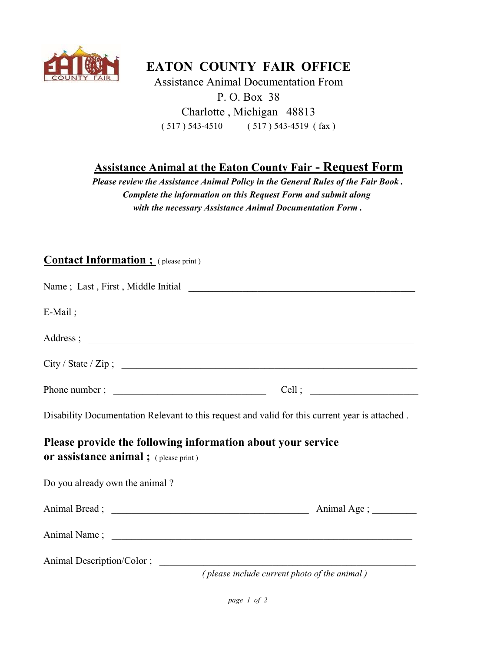

## EATON COUNTY FAIR OFFICE

Assistance Animal Documentation From P. O. Box 38 Charlotte , Michigan 48813 ( 517 ) 543-4510 ( 517 ) 543-4519 ( fax )

## Assistance Animal at the Eaton County Fair - Request Form

Please review the Assistance Animal Policy in the General Rules of the Fair Book . Complete the information on this Request Form and submit along with the necessary Assistance Animal Documentation Form .

## Contact Information ; (please print)

|                                              | $E-Mail$ ; $\qquad \qquad$                                                                     |
|----------------------------------------------|------------------------------------------------------------------------------------------------|
|                                              |                                                                                                |
|                                              | City / State / Zip ;                                                                           |
|                                              |                                                                                                |
|                                              | Disability Documentation Relevant to this request and valid for this current year is attached. |
| <b>or assistance animal</b> ; (please print) | Please provide the following information about your service                                    |
|                                              | Do you already own the animal?                                                                 |
|                                              |                                                                                                |
|                                              |                                                                                                |
| Animal Description/Color;                    |                                                                                                |
|                                              | (please include current photo of the animal)                                                   |